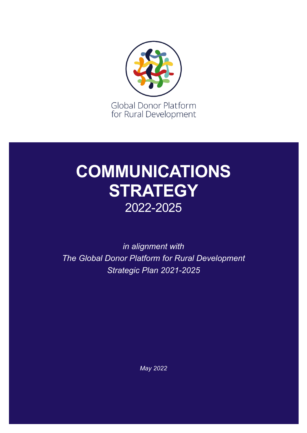

## **COMMUNICATIONS STRATEGY** 2022-2025

*in alignment with The Global Donor Platform for Rural Development Strategic Plan 2021-2025* 

*May 2022*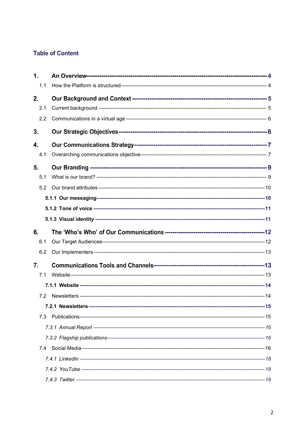#### **Table of Content**

| $\mathbf{1}$ . |  |
|----------------|--|
| 1.1            |  |
| 2.             |  |
| 2.1            |  |
| 2.2            |  |
| 3.             |  |
| 4.             |  |
| 4.1            |  |
| 5.             |  |
| 5.1            |  |
| 5.2            |  |
|                |  |
|                |  |
|                |  |
|                |  |
| 6.             |  |
| 6.1            |  |
| 6.2            |  |
| 7.             |  |
| 7.1            |  |
|                |  |
| 7.2            |  |
|                |  |
| 7.3            |  |
|                |  |
|                |  |
| 7.4            |  |
|                |  |
|                |  |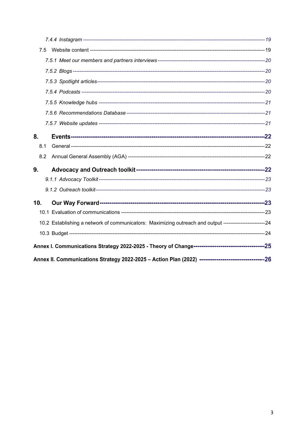| 7.5 |                                                                                                        |  |
|-----|--------------------------------------------------------------------------------------------------------|--|
|     |                                                                                                        |  |
|     |                                                                                                        |  |
|     |                                                                                                        |  |
|     |                                                                                                        |  |
|     |                                                                                                        |  |
|     |                                                                                                        |  |
|     |                                                                                                        |  |
| 8.  |                                                                                                        |  |
| 8.1 |                                                                                                        |  |
| 8.2 |                                                                                                        |  |
| 9.  |                                                                                                        |  |
|     |                                                                                                        |  |
|     |                                                                                                        |  |
| 10. |                                                                                                        |  |
|     |                                                                                                        |  |
|     | 10.2 Establishing a network of communicators: Maximizing outreach and output -----------------------24 |  |
|     |                                                                                                        |  |
|     |                                                                                                        |  |
|     |                                                                                                        |  |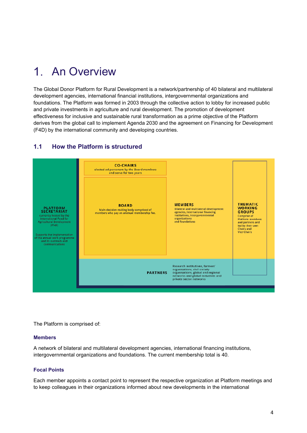#### $\mathbf 1$ An Overview

The Global Donor Platform for Rural Development is a network/partnership of 40 bilateral and multilateral development agencies, international financial institutions, intergovernmental organizations and foundations. The Platform was formed in 2003 through the collective action to lobby for increased public and private investments in agriculture and rural development. The promotion of development effectiveness for inclusive and sustainable rural transformation as a prime objective of the Platform derives from the global call to implement Agenda 2030 and the agreement on Financing for Development (F4D) by the international community and developing countries.

#### **1.1 How the Platform is structured**



The Platform is comprised of:

#### **Members**

A network of bilateral and multilateral development agencies, international financing institutions, intergovernmental organizations and foundations. The current membership total is 40.

#### **Focal Points**

Each member appoints a contact point to represent the respective organization at Platform meetings and to keep colleagues in their organizations informed about new developments in the international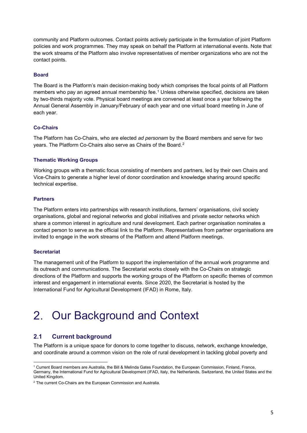community and Platform outcomes. Contact points actively participate in the formulation of joint Platform policies and work programmes. They may speak on behalf the Platform at international events. Note that the work streams of the Platform also involve representatives of member organizations who are not the contact points.

#### **Board**

The Board is the Platform's main decision-making body which comprises the focal points of all Platform members who pay an agreed annual membership fee.<sup>[1](#page-4-0)</sup> Unless otherwise specified, decisions are taken by two-thirds majority vote. Physical board meetings are convened at least once a year following the Annual General Assembly in January/February of each year and one virtual board meeting in June of each year.

#### **Co-Chairs**

The Platform has Co-Chairs, who are elected *ad personam* by the Board members and serve for two years. The Platform Co-Chairs also serve as Chairs of the Board.[2](#page-4-1)

#### **Thematic Working Groups**

Working groups with a thematic focus consisting of members and partners, led by their own Chairs and Vice-Chairs to generate a higher level of donor coordination and knowledge sharing around specific technical expertise.

#### **Partners**

The Platform enters into partnerships with research institutions, farmers' organisations, civil society organisations, global and regional networks and global initiatives and private sector networks which share a common interest in agriculture and rural development. Each partner organisation nominates a contact person to serve as the official link to the Platform. Representatives from partner organisations are invited to engage in the work streams of the Platform and attend Platform meetings.

#### **Secretariat**

The management unit of the Platform to support the implementation of the annual work programme and its outreach and communications. The Secretariat works closely with the Co-Chairs on strategic directions of the Platform and supports the working groups of the Platform on specific themes of common interest and engagement in international events. Since 2020, the Secretariat is hosted by the International Fund for Agricultural Development (IFAD) in Rome, Italy.

## 2. Our Background and Context

#### **2.1 Current background**

The Platform is a unique space for donors to come together to discuss, network, exchange knowledge, and coordinate around a common vision on the role of rural development in tackling global poverty and

<span id="page-4-0"></span><sup>1</sup> Current Board members are Australia, the Bill & Melinda Gates Foundation, the European Commission, Finland, France, Germany, the International Fund for Agricultural Development (IFAD, Italy, the Netherlands, Switzerland, the United States and the United Kingdom.

<span id="page-4-1"></span> $2$  The current Co-Chairs are the European Commission and Australia.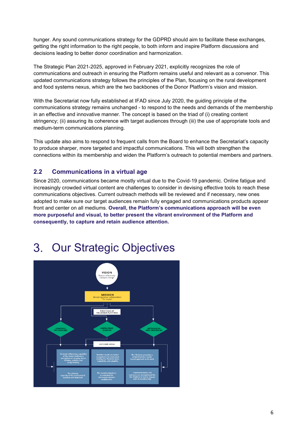hunger. Any sound communications strategy for the GDPRD should aim to facilitate these exchanges, getting the right information to the right people, to both inform and inspire Platform discussions and decisions leading to better donor coordination and harmonization.

The Strategic Plan 2021-2025, approved in February 2021, explicitly recognizes the role of communications and outreach in ensuring the Platform remains useful and relevant as a convenor. This updated communications strategy follows the principles of the Plan, focusing on the rural development and food systems nexus, which are the two backbones of the Donor Platform's vision and mission.

With the Secretariat now fully established at IFAD since July 2020, the guiding principle of the communications strategy remains unchanged - to respond to the needs and demands of the membership in an effective and innovative manner. The concept is based on the triad of (i) creating content stringency; (ii) assuring its coherence with target audiences through (iii) the use of appropriate tools and medium-term communications planning.

This update also aims to respond to frequent calls from the Board to enhance the Secretariat's capacity to produce sharper, more targeted and impactful communications. This will both strengthen the connections within its membership and widen the Platform's outreach to potential members and partners.

#### **2.2 Communications in a virtual age**

Since 2020, communications became mostly virtual due to the Covid-19 pandemic. Online fatigue and increasingly crowded virtual content are challenges to consider in devising effective tools to reach these communications objectives. Current outreach methods will be reviewed and if necessary, new ones adopted to make sure our target audiences remain fully engaged and communications products appear front and center on all mediums. **Overall, the Platform's communications approach will be even more purposeful and visual, to better present the vibrant environment of the Platform and consequently, to capture and retain audience attention.**

#### Our Strategic Objectives3.

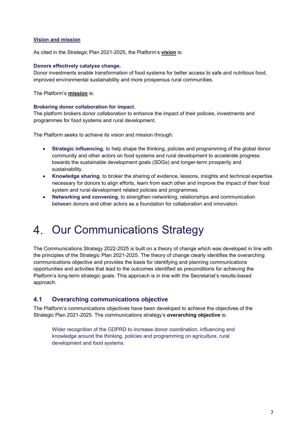#### **Vision and mission**

As cited in the Strategic Plan 2021-2025, the Platform's **vision** is:

#### **Donors effectively catalyse change.**

Donor investments enable transformation of food systems for better access to safe and nutritious food, improved environmental sustainability and more prosperous rural communities.

The Platform's **mission** is:

#### **Brokering donor collaboration for impact.**

The platform brokers donor collaboration to enhance the impact of their policies, investments and programmes for food systems and rural development.

The Platform seeks to achieve its vision and mission through:

- **Strategic influencing**, to help shape the thinking, policies and programming of the global donor community and other actors on food systems and rural development to accelerate progress towards the sustainable development goals (SDGs) and longer-term prosperity and sustainability.
- **Knowledge sharing**, to broker the sharing of evidence, lessons, insights and technical expertise necessary for donors to align efforts, learn from each other and improve the impact of their food system and rural-development related policies and programmes.
- **Networking and convening**, to strengthen networking, relationships and communication between donors and other actors as a foundation for collaboration and innovation.

## 4. Our Communications Strategy

The Communications Strategy 2022-2025 is built on a theory of change which was developed in line with the principles of the Strategic Plan 2021-2025. The theory of change clearly identifies the overarching communications objective and provides the basis for identifying and planning communications opportunities and activities that lead to the outcomes identified as preconditions for achieving the Platform's long-term strategic goals. This approach is in line with the Secretariat's results-based approach.

#### **4.1 Overarching communications objective**

The Platform's communications objectives have been developed to achieve the objectives of the Strategic Plan 2021-2025. The communications strategy's **overarching objective** is:

Wider recognition of the GDPRD to increase donor coordination, influencing and knowledge around the thinking, policies and programming on agriculture, rural development and food systems.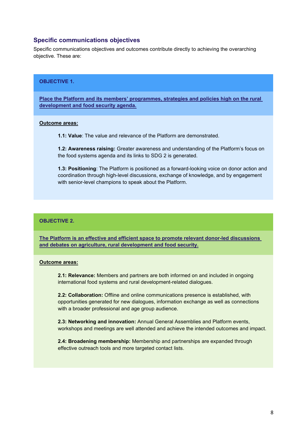#### **Specific communications objectives**

Specific communications objectives and outcomes contribute directly to achieving the overarching objective. These are:

#### **OBJECTIVE 1.**

**Place the Platform and its members' programmes, strategies and policies high on the rural development and food security agenda.**

#### **Outcome areas:**

**1.1: Value**: The value and relevance of the Platform are demonstrated.

**1.2: Awareness raising:** Greater awareness and understanding of the Platform's focus on the food systems agenda and its links to SDG 2 is generated.

**1.3: Positioning**: The Platform is positioned as a forward-looking voice on donor action and coordination through high-level discussions, exchange of knowledge, and by engagement with senior-level champions to speak about the Platform.

#### **OBJECTIVE 2.**

**The Platform is an effective and efficient space to promote relevant donor-led discussions and debates on agriculture, rural development and food security.**

#### **Outcome areas:**

**2.1: Relevance:** Members and partners are both informed on and included in ongoing international food systems and rural development-related dialogues.

**2.2: Collaboration:** Offline and online communications presence is established, with opportunities generated for new dialogues, information exchange as well as connections with a broader professional and age group audience.

**2.3: Networking and innovation:** Annual General Assemblies and Platform events, workshops and meetings are well attended and achieve the intended outcomes and impact.

**2.4: Broadening membership:** Membership and partnerships are expanded through effective outreach tools and more targeted contact lists.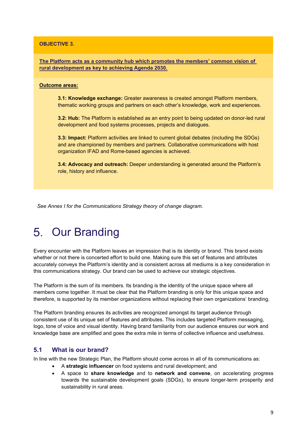#### **OBJECTIVE 3.**

**The Platform acts as a community hub which promotes the members' common vision of rural development as key to achieving Agenda 2030.**

#### **Outcome areas:**

**3.1: Knowledge exchange:** Greater awareness is created amongst Platform members, thematic working groups and partners on each other's knowledge, work and experiences.

**3.2: Hub:** The Platform is established as an entry point to being updated on donor-led rural development and food systems processes, projects and dialogues.

**3.3: Impact:** Platform activities are linked to current global debates (including the SDGs) and are championed by members and partners. Collaborative communications with host organization IFAD and Rome-based agencies is achieved.

**3.4: Advocacy and outreach:** Deeper understanding is generated around the Platform's role, history and influence.

*See Annex I for the Communications Strategy theory of change diagram.*

#### 5. Our Branding

Every encounter with the Platform leaves an impression that is its identity or brand. This brand exists whether or not there is concerted effort to build one. Making sure this set of features and attributes accurately conveys the Platform's identity and is consistent across all mediums is a key consideration in this communications strategy. Our brand can be used to achieve our strategic objectives.

The Platform is the sum of its members. Its branding is the identity of the unique space where all members come together. It must be clear that the Platform branding is only for this unique space and therefore, is supported by its member organizations without replacing their own organizations' branding.

The Platform branding ensures its activities are recognized amongst its target audience through consistent use of its unique set of features and attributes. This includes targeted Platform messaging, logo, tone of voice and visual identity. Having brand familiarity from our audience ensures our work and knowledge base are amplified and goes the extra mile in terms of collective influence and usefulness.

#### **5.1 What is our brand?**

In line with the new Strategic Plan, the Platform should come across in all of its communications as:

- A **strategic influencer** on food systems and rural development; and
- A space to **share knowledge** and to **network and convene**, on accelerating progress towards the sustainable development goals (SDGs), to ensure longer-term prosperity and sustainability in rural areas.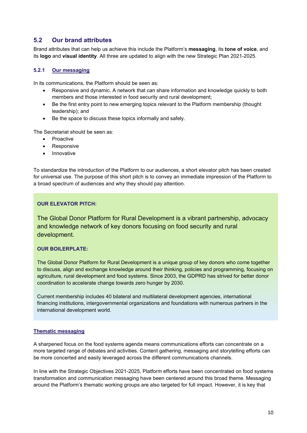#### **5.2 Our brand attributes**

Brand attributes that can help us achieve this include the Platform's **messaging**, its **tone of voice**, and its **logo** and **visual identity**. All three are updated to align with the new Strategic Plan 2021-2025.

#### **5.2.1 Our messaging**

In its communications, the Platform should be seen as:

- Responsive and dynamic. A network that can share information and knowledge quickly to both members and those interested in food security and rural development;
- Be the first entry point to new emerging topics relevant to the Platform membership (thought leadership); and
- Be the space to discuss these topics informally and safely.

The Secretariat should be seen as:

- **Proactive**
- Responsive
- **Innovative**

To standardize the introduction of the Platform to our audiences, a short elevator pitch has been created for universal use. The purpose of this short pitch is to convey an immediate impression of the Platform to a broad spectrum of audiences and why they should pay attention.

#### **OUR ELEVATOR PITCH:**

The Global Donor Platform for Rural Development is a vibrant partnership, advocacy and knowledge network of key donors focusing on food security and rural development.

#### **OUR BOILERPLATE:**

The Global Donor Platform for Rural Development is a unique group of key donors who come together to discuss, align and exchange knowledge around their thinking, policies and programming, focusing on agriculture, rural development and food systems. Since 2003, the GDPRD has strived for better donor coordination to accelerate change towards zero hunger by 2030.

Current membership includes 40 bilateral and multilateral development agencies, international financing institutions, intergovernmental organizations and foundations with numerous partners in the international development world.

#### **Thematic messaging**

A sharpened focus on the food systems agenda means communications efforts can concentrate on a more targeted range of debates and activities. Content gathering, messaging and storytelling efforts can be more concerted and easily leveraged across the different communications channels.

In line with the Strategic Objectives 2021-2025, Platform efforts have been concentrated on food systems transformation and communication messaging have been centered around this broad theme. Messaging around the Platform's thematic working groups are also targeted for full impact. However, it is key that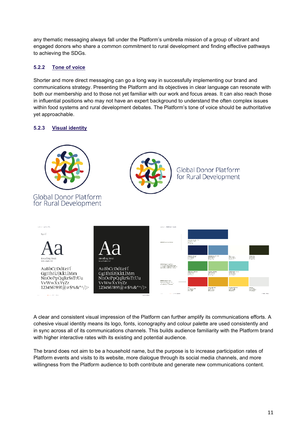any thematic messaging always fall under the Platform's umbrella mission of a group of vibrant and engaged donors who share a common commitment to rural development and finding effective pathways to achieving the SDGs.

#### **5.2.2 Tone of voice**

Shorter and more direct messaging can go a long way in successfully implementing our brand and communications strategy. Presenting the Platform and its objectives in clear language can resonate with both our membership and to those not yet familiar with our work and focus areas. It can also reach those in influential positions who may not have an expert background to understand the often complex issues within food systems and rural development debates. The Platform's tone of voice should be authoritative yet approachable.

#### **5.2.3 Visual identity**



A clear and consistent visual impression of the Platform can further amplify its communications efforts. A cohesive visual identity means its logo, fonts, iconography and colour palette are used consistently and in sync across all of its communications channels. This builds audience familiarity with the Platform brand with higher interactive rates with its existing and potential audience.

The brand does not aim to be a household name, but the purpose is to increase participation rates of Platform events and visits to its website, more dialogue through its social media channels, and more willingness from the Platform audience to both contribute and generate new communications content.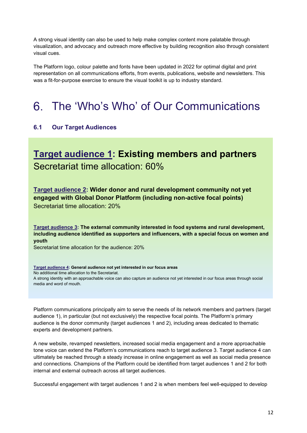A strong visual identity can also be used to help make complex content more palatable through visualization, and advocacy and outreach more effective by building recognition also through consistent visual cues.

The Platform logo, colour palette and fonts have been updated in 2022 for optimal digital and print representation on all communications efforts, from events, publications, website and newsletters. This was a fit-for-purpose exercise to ensure the visual toolkit is up to industry standard.

## The 'Who's Who' of Our Communications

#### **6.1 Our Target Audiences**

### **Target audience 1: Existing members and partners**  Secretariat time allocation: 60%

**Target audience 2: Wider donor and rural development community not yet engaged with Global Donor Platform (including non-active focal points)**  Secretariat time allocation: 20%

**Target audience 3: The external community interested in food systems and rural development, including audience identified as supporters and influencers, with a special focus on women and youth**

Secretariat time allocation for the audience: 20%

**Target audience 4: General audience not yet interested in our focus areas** No additional time allocation to the Secretariat. A strong identity with an approachable voice can also capture an audience not yet interested in our focus areas through social media and word of mouth.

Platform communications principally aim to serve the needs of its network members and partners (target audience 1), in particular (but not exclusively) the respective focal points. The Platform's primary audience is the donor community (target audiences 1 and 2), including areas dedicated to thematic experts and development partners.

A new website, revamped newsletters, increased social media engagement and a more approachable tone voice can extend the Platform's communications reach to target audience 3. Target audience 4 can ultimately be reached through a steady increase in online engagement as well as social media presence and connections. Champions of the Platform could be identified from target audiences 1 and 2 for both internal and external outreach across all target audiences.

Successful engagement with target audiences 1 and 2 is when members feel well-equipped to develop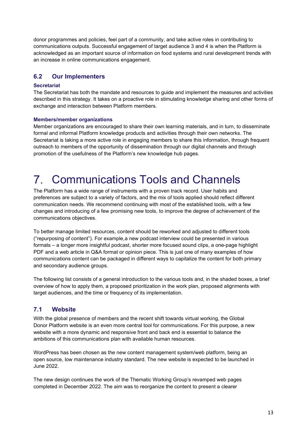donor programmes and policies, feel part of a community, and take active roles in contributing to communications outputs. Successful engagement of target audience 3 and 4 is when the Platform is acknowledged as an important source of information on food systems and rural development trends with an increase in online communications engagement.

#### **6.2 Our Implementers**

#### **Secretariat**

The Secretariat has both the mandate and resources to guide and implement the measures and activities described in this strategy. It takes on a proactive role in stimulating knowledge sharing and other forms of exchange and interaction between Platform members.

#### **Members/member organizations**

Member organizations are encouraged to share their own learning materials, and in turn, to disseminate formal and informal Platform knowledge products and activities through their own networks. The Secretariat is taking a more active role in engaging members to share this information, through frequent outreach to members of the opportunity of dissemination through our digital channels and through promotion of the usefulness of the Platform's new knowledge hub pages.

## Communications Tools and Channels

The Platform has a wide range of instruments with a proven track record. User habits and preferences are subject to a variety of factors, and the mix of tools applied should reflect different communication needs. We recommend continuing with most of the established tools, with a few changes and introducing of a few promising new tools, to improve the degree of achievement of the communications objectives.

To better manage limited resources, content should be reworked and adjusted to different tools ("repurposing of content"). For example,a new podcast interview could be presented in various formats – a longer more insightful podcast, shorter more focused sound clips, a one-page highlight PDF and a web article in Q&A format or opinion piece. This is just one of many examples of how communications content can be packaged in different ways to capitalize the content for both primary and secondary audience groups.

The following list consists of a general introduction to the various tools and, in the shaded boxes, a brief overview of how to apply them, a proposed prioritization in the work plan, proposed alignments with target audiences, and the time or frequency of its implementation.

#### **7.1 Website**

With the global presence of members and the recent shift towards virtual working, the Global Donor Platform website is an even more central tool for communications. For this purpose, a new website with a more dynamic and responsive front and back end is essential to balance the ambitions of this communications plan with available human resources.

WordPress has been chosen as the new content management system/web platform, being an open source, low maintenance industry standard. The new website is expected to be launched in June 2022.

The new design continues the work of the Thematic Working Group's revamped web pages completed in December 2022. The aim was to reorganize the content to present a clearer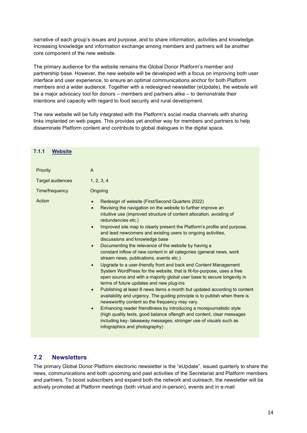narrative of each group's issues and purpose, and to share information, activities and knowledge. Increasing knowledge and information exchange among members and partners will be another core component of the new website.

The primary audience for the website remains the Global Donor Platform's member and partnership base. However, the new website will be developed with a focus on improving both user interface and user experience, to ensure an optimal communications anchor for both Platform members and a wider audience. Together with a redesigned newsletter (eUpdate), the website will be a major advocacy tool for donors – members and partners alike – to demonstrate their intentions and capacity with regard to food security and rural development.

The new website will be fully integrated with the Platform's social media channels with sharing links implanted on web pages. This provides yet another way for members and partners to help disseminate Platform content and contribute to global dialogues in the digital space.

| 7.1.1<br><b>Website</b> |                                                                                                                                                                                                                                                                                                                                                                                                                                                                                                                                                                                                                                                                                                                                                                                                                                                                                                                                                                                                                                                                                                                                                                                                                                                                                                                                                                                                 |
|-------------------------|-------------------------------------------------------------------------------------------------------------------------------------------------------------------------------------------------------------------------------------------------------------------------------------------------------------------------------------------------------------------------------------------------------------------------------------------------------------------------------------------------------------------------------------------------------------------------------------------------------------------------------------------------------------------------------------------------------------------------------------------------------------------------------------------------------------------------------------------------------------------------------------------------------------------------------------------------------------------------------------------------------------------------------------------------------------------------------------------------------------------------------------------------------------------------------------------------------------------------------------------------------------------------------------------------------------------------------------------------------------------------------------------------|
| <b>Priority</b>         | A                                                                                                                                                                                                                                                                                                                                                                                                                                                                                                                                                                                                                                                                                                                                                                                                                                                                                                                                                                                                                                                                                                                                                                                                                                                                                                                                                                                               |
| <b>Target audiences</b> | 1, 2, 3, 4                                                                                                                                                                                                                                                                                                                                                                                                                                                                                                                                                                                                                                                                                                                                                                                                                                                                                                                                                                                                                                                                                                                                                                                                                                                                                                                                                                                      |
| Time/frequency          | Ongoing                                                                                                                                                                                                                                                                                                                                                                                                                                                                                                                                                                                                                                                                                                                                                                                                                                                                                                                                                                                                                                                                                                                                                                                                                                                                                                                                                                                         |
| Action                  | Redesign of website (First/Second Quarters 2022)<br>Revising the navigation on the website to further improve an<br>$\bullet$<br>intuitive use (improved structure of content allocation, avoiding of<br>redundancies etc.)<br>Improved site map to clearly present the Platform's profile and purpose,<br>$\bullet$<br>and lead newcomers and existing users to ongoing activities,<br>discussions and knowledge base<br>Documenting the relevance of the website by having a<br>$\bullet$<br>constant inflow of new content in all categories (general news, work<br>stream news, publications, events etc.)<br>Upgrade to a user-friendly front and back end Content Management<br>$\bullet$<br>System WordPress for the website, that is fit-for-purpose, uses a free<br>open source and with a majority global user base to secure longevity in<br>terms of future updates and new plug-ins<br>Publishing at least 8 news items a month but updated according to content<br>$\bullet$<br>availability and urgency. The guiding principle is to publish when there is<br>newsworthy content so the frequency may vary.<br>Enhancing reader friendliness by introducing a morejournalistic style<br>$\bullet$<br>(high quality texts, good balance oflength and content, clear messages<br>including key-takeaway messages, stronger use of visuals such as<br>infographics and photography) |

#### **7.2 Newsletters**

The primary Global Donor Platform electronic newsletter is the "eUpdate", issued quarterly to share the news, communications and both upcoming and past activities of the Secretariat and Platform members and partners. To boost subscribers and expand both the network and outreach, the newsletter will be actively promoted at Platform meetings (both virtual and in-person), events and in e-mail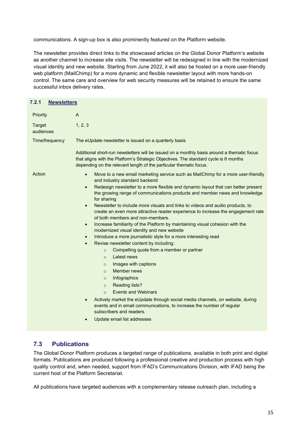communications. A sign-up box is also prominently featured on the Platform website.

The newsletter provides direct links to the showcased articles on the Global Donor Platform's website as another channel to increase site visits. The newsletter will be redesigned in line with the modernized visual identity and new website. Starting from June 2022, it will also be hosted on a more user-friendly web platform (MailChimp) for a more dynamic and flexible newsletter layout with more hands-on control. The same care and overview for web security measures will be retained to ensure the same successful inbox delivery rates.

| 7.2.1<br><b>Newsletters</b> |                                                                                                                                                                                                                                                          |
|-----------------------------|----------------------------------------------------------------------------------------------------------------------------------------------------------------------------------------------------------------------------------------------------------|
| Priority                    | A                                                                                                                                                                                                                                                        |
| <b>Target</b><br>audiences  | 1, 2, 3                                                                                                                                                                                                                                                  |
| Time/frequency              | The eUpdate newsletter is issued on a quarterly basis                                                                                                                                                                                                    |
|                             | Additional short-run newsletters will be issued on a monthly basis around a thematic focus<br>that aligns with the Platform's Strategic Objectives. The standard cycle is 6 months<br>depending on the relevant length of the particular thematic focus. |
| Action                      | Move to a new email marketing service such as MailChimp for a more user-friendly<br>$\bullet$<br>and industry standard backend                                                                                                                           |
|                             | Redesign newsletter to a more flexible and dynamic layout that can better present<br>$\bullet$<br>the growing range of communications products and member news and knowledge<br>for sharing                                                              |
|                             | Newsletter to include more visuals and links to videos and audio products, to<br>$\bullet$<br>create an even more attractive reader experience to increase the engagement rate<br>of both members and non-members.                                       |
|                             | Increase familiarity of the Platform by maintaining visual cohesion with the<br>$\bullet$<br>modernized visual identity and new website                                                                                                                  |
|                             | Introduce a more journalistic style for a more interesting read<br>$\bullet$                                                                                                                                                                             |
|                             | Revise newsletter content by including:<br>$\bullet$                                                                                                                                                                                                     |
|                             | Compelling quote from a member or partner<br>$\circ$                                                                                                                                                                                                     |
|                             | Latest news<br>$\Omega$                                                                                                                                                                                                                                  |
|                             | Images with captions<br>$\circ$                                                                                                                                                                                                                          |
|                             | Member news<br>$\Omega$                                                                                                                                                                                                                                  |
|                             | Infographics<br>$\circ$                                                                                                                                                                                                                                  |
|                             | <b>Reading lists?</b><br>$\circ$                                                                                                                                                                                                                         |
|                             | <b>Events and Webinars</b><br>$\Omega$                                                                                                                                                                                                                   |
|                             | Actively market the eUpdate through social media channels, on website, during<br>$\bullet$<br>events and in email communications, to increase the number of regular<br>subscribers and readers.                                                          |
|                             | Update email list addresses<br>$\bullet$                                                                                                                                                                                                                 |

#### **7.3 Publications**

The Global Donor Platform produces a targeted range of publications, available in both print and digital formats. Publications are produced following a professional creative and production process with high quality control and, when needed, support from IFAD's Communications Division, with IFAD being the current host of the Platform Secretariat.

All publications have targeted audiences with a complementary release outreach plan, including a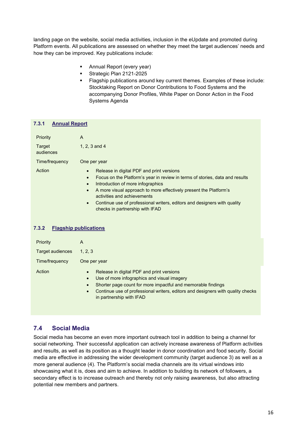landing page on the website, social media activities, inclusion in the eUpdate and promoted during Platform events. All publications are assessed on whether they meet the target audiences' needs and how they can be improved. Key publications include:

- **Annual Report (every year)**
- Strategic Plan 2121-2025
- **Flagship publications around key current themes. Examples of these include:** Stocktaking Report on Donor Contributions to Food Systems and the accompanying Donor Profiles, White Paper on Donor Action in the Food Systems Agenda

#### **7.3.1 Annual Report**

| Priority<br>Target<br>audiences | A<br>1, 2, 3 and 4                                                                                                                                                                                                                                                                                                                                                                                                       |
|---------------------------------|--------------------------------------------------------------------------------------------------------------------------------------------------------------------------------------------------------------------------------------------------------------------------------------------------------------------------------------------------------------------------------------------------------------------------|
| Time/frequency                  | One per year                                                                                                                                                                                                                                                                                                                                                                                                             |
| Action                          | Release in digital PDF and print versions<br>Focus on the Platform's year in review in terms of stories, data and results<br>Introduction of more infographics<br>$\bullet$<br>A more visual approach to more effectively present the Platform's<br>$\bullet$<br>activities and achievements<br>Continue use of professional writers, editors and designers with quality<br>$\bullet$<br>checks in partnership with IFAD |

| 7.3.2<br><b>Flagship publications</b> |
|---------------------------------------|
|---------------------------------------|

| <b>Priority</b>  | A                                                                                                                                                                                                                                                                                                                           |
|------------------|-----------------------------------------------------------------------------------------------------------------------------------------------------------------------------------------------------------------------------------------------------------------------------------------------------------------------------|
| Target audiences | 1, 2, 3                                                                                                                                                                                                                                                                                                                     |
| Time/frequency   | One per year                                                                                                                                                                                                                                                                                                                |
| Action           | Release in digital PDF and print versions<br>$\bullet$<br>Use of more infographics and visual imagery<br>$\bullet$<br>Shorter page count for more impactful and memorable findings<br>$\bullet$<br>Continue use of professional writers, editors and designers with quality checks<br>$\bullet$<br>in partnership with IFAD |

#### **7.4 Social Media**

Social media has become an even more important outreach tool in addition to being a channel for social networking. Their successful application can actively increase awareness of Platform activities and results, as well as its position as a thought leader in donor coordination and food security. Social media are effective in addressing the wider development community (target audience 3) as well as a more general audience (4). The Platform's social media channels are its virtual windows into showcasing what it is, does and aim to achieve. In addition to building its network of followers, a secondary effect is to increase outreach and thereby not only raising awareness, but also attracting potential new members and partners.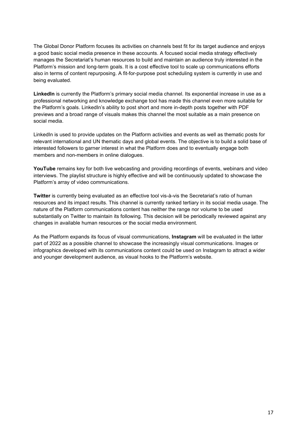The Global Donor Platform focuses its activities on channels best fit for its target audience and enjoys a good basic social media presence in these accounts. A focused social media strategy effectively manages the Secretariat's human resources to build and maintain an audience truly interested in the Platform's mission and long-term goals. It is a cost effective tool to scale up communications efforts also in terms of content repurposing. A fit-for-purpose post scheduling system is currently in use and being evaluated.

**LinkedIn** is currently the Platform's primary social media channel. Its exponential increase in use as a professional networking and knowledge exchange tool has made this channel even more suitable for the Platform's goals. LinkedIn's ability to post short and more in-depth posts together with PDF previews and a broad range of visuals makes this channel the most suitable as a main presence on social media.

LinkedIn is used to provide updates on the Platform activities and events as well as thematic posts for relevant international and UN thematic days and global events. The objective is to build a solid base of interested followers to garner interest in what the Platform does and to eventually engage both members and non-members in online dialogues.

**YouTube** remains key for both live webcasting and providing recordings of events, webinars and video interviews. The playlist structure is highly effective and will be continuously updated to showcase the Platform's array of video communications.

**Twitter** is currently being evaluated as an effective tool vis-à-vis the Secretariat's ratio of human resources and its impact results. This channel is currently ranked tertiary in its social media usage. The nature of the Platform communications content has neither the range nor volume to be used substantially on Twitter to maintain its following. This decision will be periodically reviewed against any changes in available human resources or the social media environment.

As the Platform expands its focus of visual communications, **Instagram** will be evaluated in the latter part of 2022 as a possible channel to showcase the increasingly visual communications. Images or infographics developed with its communications content could be used on Instagram to attract a wider and younger development audience, as visual hooks to the Platform's website.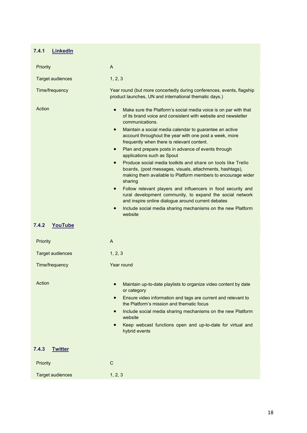#### **7.4.1 LinkedIn**

| Priority                | A                                                                                                                                                                                                                                                                                                                                                                                                                                                                                                                                                                                                                                                                                                                                                                                                                                                                                                                                     |
|-------------------------|---------------------------------------------------------------------------------------------------------------------------------------------------------------------------------------------------------------------------------------------------------------------------------------------------------------------------------------------------------------------------------------------------------------------------------------------------------------------------------------------------------------------------------------------------------------------------------------------------------------------------------------------------------------------------------------------------------------------------------------------------------------------------------------------------------------------------------------------------------------------------------------------------------------------------------------|
| <b>Target audiences</b> | 1, 2, 3                                                                                                                                                                                                                                                                                                                                                                                                                                                                                                                                                                                                                                                                                                                                                                                                                                                                                                                               |
| Time/frequency          | Year round (but more concertedly during conferences, events, flagship<br>product launches, UN and international thematic days.)                                                                                                                                                                                                                                                                                                                                                                                                                                                                                                                                                                                                                                                                                                                                                                                                       |
| Action                  | Make sure the Platform's social media voice is on par with that<br>$\bullet$<br>of its brand voice and consistent with website and newsletter<br>communications.<br>Maintain a social media calendar to guarantee an active<br>$\bullet$<br>account throughout the year with one post a week, more<br>frequently when there is relevant content.<br>Plan and prepare posts in advance of events through<br>$\bullet$<br>applications such as Spout<br>Produce social media toolkits and share on tools like Trello<br>$\bullet$<br>boards, (post messages, visuals, attachments, hashtags),<br>making them available to Platform members to encourage wider<br>sharing<br>Follow relevant players and influencers in food security and<br>$\bullet$<br>rural development community, to expand the social network<br>and inspire online dialogue around current debates<br>Include social media sharing mechanisms on the new Platform |
| 7.4.2<br><b>YouTube</b> | website                                                                                                                                                                                                                                                                                                                                                                                                                                                                                                                                                                                                                                                                                                                                                                                                                                                                                                                               |
| Priority                | $\overline{A}$                                                                                                                                                                                                                                                                                                                                                                                                                                                                                                                                                                                                                                                                                                                                                                                                                                                                                                                        |
| <b>Target audiences</b> | 1, 2, 3                                                                                                                                                                                                                                                                                                                                                                                                                                                                                                                                                                                                                                                                                                                                                                                                                                                                                                                               |
| Time/frequency          | Year round                                                                                                                                                                                                                                                                                                                                                                                                                                                                                                                                                                                                                                                                                                                                                                                                                                                                                                                            |
| Action                  | Maintain up-to-date playlists to organize video content by date<br>$\bullet$<br>or category<br>Ensure video information and tags are current and relevant to<br>$\bullet$<br>the Platform's mission and thematic focus<br>Include social media sharing mechanisms on the new Platform<br>$\bullet$<br>website<br>Keep webcast functions open and up-to-date for virtual and<br>hybrid events                                                                                                                                                                                                                                                                                                                                                                                                                                                                                                                                          |
| 7.4.3<br><b>Twitter</b> |                                                                                                                                                                                                                                                                                                                                                                                                                                                                                                                                                                                                                                                                                                                                                                                                                                                                                                                                       |
| Priority                | C                                                                                                                                                                                                                                                                                                                                                                                                                                                                                                                                                                                                                                                                                                                                                                                                                                                                                                                                     |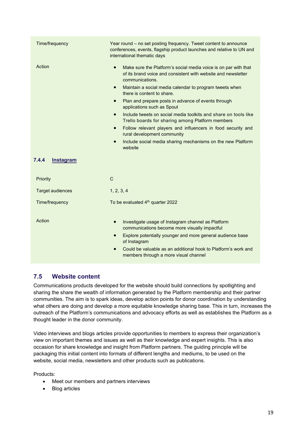| Time/frequency               | Year round - no set posting frequency. Tweet content to announce<br>conferences, events, flagship product launches and relative to UN and<br>international thematic days                                                                                                                                                                                                                                                                                                                                                                                                                                                                                                                                        |
|------------------------------|-----------------------------------------------------------------------------------------------------------------------------------------------------------------------------------------------------------------------------------------------------------------------------------------------------------------------------------------------------------------------------------------------------------------------------------------------------------------------------------------------------------------------------------------------------------------------------------------------------------------------------------------------------------------------------------------------------------------|
| Action<br>7.4.4<br>Instagram | Make sure the Platform's social media voice is on par with that<br>$\bullet$<br>of its brand voice and consistent with website and newsletter<br>communications.<br>Maintain a social media calendar to program tweets when<br>$\bullet$<br>there is content to share.<br>Plan and prepare posts in advance of events through<br>$\bullet$<br>applications such as Spout<br>Include tweets on social media toolkits and share on tools like<br>$\bullet$<br>Trello boards for sharing among Platform members<br>Follow relevant players and influencers in food security and<br>$\bullet$<br>rural development community<br>Include social media sharing mechanisms on the new Platform<br>$\bullet$<br>website |
| Priority                     | $\mathsf{C}$                                                                                                                                                                                                                                                                                                                                                                                                                                                                                                                                                                                                                                                                                                    |
| <b>Target audiences</b>      | 1, 2, 3, 4                                                                                                                                                                                                                                                                                                                                                                                                                                                                                                                                                                                                                                                                                                      |
| Time/frequency               | To be evaluated 4 <sup>th</sup> quarter 2022                                                                                                                                                                                                                                                                                                                                                                                                                                                                                                                                                                                                                                                                    |
| Action                       | Investigate usage of Instagram channel as Platform<br>$\bullet$<br>communications become more visually impactful<br>Explore potentially younger and more general audience base<br>$\bullet$                                                                                                                                                                                                                                                                                                                                                                                                                                                                                                                     |

#### **7.5 Website content**

Communications products developed for the website should build connections by spotlighting and sharing the share the wealth of information generated by the Platform membership and their partner communities. The aim is to spark ideas, develop action points for donor coordination by understanding what others are doing and develop a more equitable knowledge sharing base. This in turn, increases the outreach of the Platform's communications and advocacy efforts as well as establishes the Platform as a thought leader in the donor community.

Video interviews and blogs articles provide opportunities to members to express their organization's view on important themes and issues as well as their knowledge and expert insights. This is also occasion for share knowledge and insight from Platform partners. The guiding principle will be packaging this initial content into formats of different lengths and mediums, to be used on the website, social media, newsletters and other products such as publications.

Products:

- Meet our members and partners interviews
- Blog articles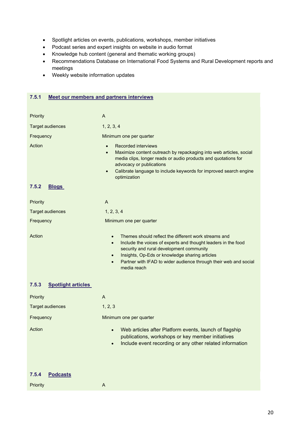- Spotlight articles on events, publications, workshops, member initiatives
- Podcast series and expert insights on website in audio format
- Knowledge hub content (general and thematic working groups)
- Recommendations Database on International Food Systems and Rural Development reports and meetings
- Weekly website information updates

#### **7.5.1 Meet our members and partners interviews**

Priority **A** 

| Priority                           | A                                                                                                                                                                                                                                                                                                                                                          |
|------------------------------------|------------------------------------------------------------------------------------------------------------------------------------------------------------------------------------------------------------------------------------------------------------------------------------------------------------------------------------------------------------|
| <b>Target audiences</b>            | 1, 2, 3, 4                                                                                                                                                                                                                                                                                                                                                 |
| Frequency                          | Minimum one per quarter                                                                                                                                                                                                                                                                                                                                    |
| Action                             | <b>Recorded interviews</b><br>$\bullet$<br>Maximize content outreach by repackaging into web articles, social<br>$\bullet$<br>media clips, longer reads or audio products and quotations for<br>advocacy or publications<br>Calibrate language to include keywords for improved search engine<br>$\bullet$<br>optimization                                 |
| 7.5.2<br><b>Blogs</b>              |                                                                                                                                                                                                                                                                                                                                                            |
| Priority                           | A                                                                                                                                                                                                                                                                                                                                                          |
| <b>Target audiences</b>            | 1, 2, 3, 4                                                                                                                                                                                                                                                                                                                                                 |
| Frequency                          | Minimum one per quarter                                                                                                                                                                                                                                                                                                                                    |
| Action                             | Themes should reflect the different work streams and<br>$\bullet$<br>Include the voices of experts and thought leaders in the food<br>$\bullet$<br>security and rural development community<br>Insights, Op-Eds or knowledge sharing articles<br>$\bullet$<br>Partner with IFAD to wider audience through their web and social<br>$\bullet$<br>media reach |
| 7.5.3<br><b>Spotlight articles</b> |                                                                                                                                                                                                                                                                                                                                                            |
| Priority                           | A                                                                                                                                                                                                                                                                                                                                                          |
| <b>Target audiences</b>            | 1, 2, 3                                                                                                                                                                                                                                                                                                                                                    |
| Frequency                          | Minimum one per quarter                                                                                                                                                                                                                                                                                                                                    |
| Action                             | Web articles after Platform events, launch of flagship<br>$\bullet$<br>publications, workshops or key member initiatives<br>Include event recording or any other related information                                                                                                                                                                       |
| 7.5.4<br><b>Podcasts</b>           |                                                                                                                                                                                                                                                                                                                                                            |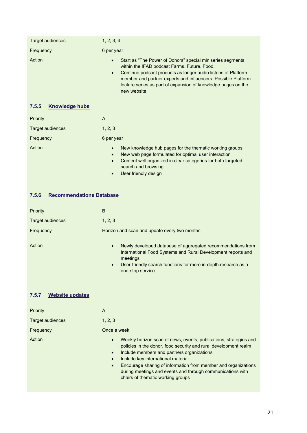| Target audiences               | 1, 2, 3, 4                                                                                                                                                                                                                                                                                                                                              |
|--------------------------------|---------------------------------------------------------------------------------------------------------------------------------------------------------------------------------------------------------------------------------------------------------------------------------------------------------------------------------------------------------|
| Frequency                      | 6 per year                                                                                                                                                                                                                                                                                                                                              |
| Action                         | Start as "The Power of Donors" special miniseries segments<br>$\bullet$<br>within the IFAD podcast Farms. Future. Food.<br>Continue podcast products as longer audio listens of Platform<br>$\bullet$<br>member and partner experts and influencers. Possible Platform<br>lecture series as part of expansion of knowledge pages on the<br>new website. |
| <b>Knowledge hubs</b><br>7.5.5 |                                                                                                                                                                                                                                                                                                                                                         |
| <b>Priority</b>                | A                                                                                                                                                                                                                                                                                                                                                       |
| Target audiences               | 1, 2, 3                                                                                                                                                                                                                                                                                                                                                 |
| Frequency                      | 6 per year                                                                                                                                                                                                                                                                                                                                              |
| Action                         | New knowledge hub pages for the thematic working groups<br>New web page formulated for optimal user interaction                                                                                                                                                                                                                                         |

#### • Content well organized in clear categories for both targeted search and browsing

• User friendly design

#### **7.5.6 Recommendations Database**

| Priority         | B                                                                                                                                                                                                                                                       |
|------------------|---------------------------------------------------------------------------------------------------------------------------------------------------------------------------------------------------------------------------------------------------------|
| Target audiences | 1, 2, 3                                                                                                                                                                                                                                                 |
| Frequency        | Horizon and scan and update every two months                                                                                                                                                                                                            |
| Action           | Newly developed database of aggregated recommendations from<br>$\bullet$<br>International Food Systems and Rural Development reports and<br>meetings<br>User-friendly search functions for more in-depth research as a<br>$\bullet$<br>one-stop service |

#### **7.5.7 Website updates**

| Priority                | A                                                                                                                                                                                                                                                                                                                                                                                                           |
|-------------------------|-------------------------------------------------------------------------------------------------------------------------------------------------------------------------------------------------------------------------------------------------------------------------------------------------------------------------------------------------------------------------------------------------------------|
| <b>Target audiences</b> | 1, 2, 3                                                                                                                                                                                                                                                                                                                                                                                                     |
| Frequency               | Once a week                                                                                                                                                                                                                                                                                                                                                                                                 |
| Action                  | Weekly horizon scan of news, events, publications, strategies and<br>$\bullet$<br>policies in the donor, food security and rural development realm<br>Include members and partners organizations<br>Include key international material<br>Encourage sharing of information from member and organizations<br>during meetings and events and through communications with<br>chairs of thematic working groups |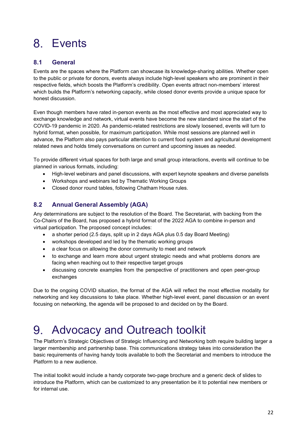## Events

#### **8.1 General**

Events are the spaces where the Platform can showcase its knowledge-sharing abilities. Whether open to the public or private for donors, events always include high-level speakers who are prominent in their respective fields, which boosts the Platform's credibility. Open events attract non-members' interest which builds the Platform's networking capacity, while closed donor events provide a unique space for honest discussion.

Even though members have rated in-person events as the most effective and most appreciated way to exchange knowledge and network, virtual events have become the new standard since the start of the COVID-19 pandemic in 2020. As pandemic-related restrictions are slowly loosened, events will turn to hybrid format, when possible, for maximum participation. While most sessions are planned well in advance, the Platform also pays particular attention to current food system and agricultural development related news and holds timely conversations on current and upcoming issues as needed.

To provide different virtual spaces for both large and small group interactions, events will continue to be planned in various formats, including:

- High-level webinars and panel discussions, with expert keynote speakers and diverse panelists
- Workshops and webinars led by Thematic Working Groups
- Closed donor round tables, following Chatham House rules.

#### **8.2 Annual General Assembly (AGA)**

Any determinations are subject to the resolution of the Board. The Secretariat, with backing from the Co-Chairs of the Board, has proposed a hybrid format of the 2022 AGA to combine in-person and virtual participation. The proposed concept includes:

- a shorter period (2.5 days, split up in 2 days AGA plus 0.5 day Board Meeting)
- workshops developed and led by the thematic working groups
- a clear focus on allowing the donor community to meet and network
- to exchange and learn more about urgent strategic needs and what problems donors are facing when reaching out to their respective target groups
- discussing concrete examples from the perspective of practitioners and open peer-group exchanges

Due to the ongoing COVID situation, the format of the AGA will reflect the most effective modality for networking and key discussions to take place. Whether high-level event, panel discussion or an event focusing on networking, the agenda will be proposed to and decided on by the Board.

#### Advocacy and Outreach toolkit 9.

The Platform's Strategic Objectives of Strategic Influencing and Networking both require building larger a larger membership and partnership base. This communications strategy takes into consideration the basic requirements of having handy tools available to both the Secretariat and members to introduce the Platform to a new audience.

The initial toolkit would include a handy corporate two-page brochure and a generic deck of slides to introduce the Platform, which can be customized to any presentation be it to potential new members or for internal use.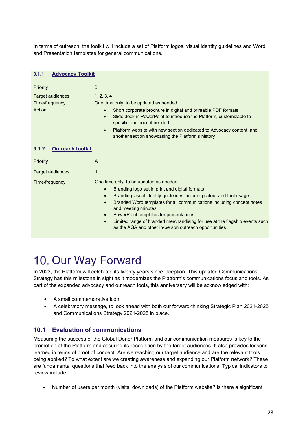In terms of outreach, the toolkit will include a set of Platform logos, visual identity guidelines and Word and Presentation templates for general communications.

| <b>Advocacy Toolkit</b><br>9.1.1                         |                                                                                                                                                                                                                                                                                                                                                                                                                                                                                                                   |  |  |  |
|----------------------------------------------------------|-------------------------------------------------------------------------------------------------------------------------------------------------------------------------------------------------------------------------------------------------------------------------------------------------------------------------------------------------------------------------------------------------------------------------------------------------------------------------------------------------------------------|--|--|--|
| Priority<br>Target audiences<br>Time/frequency<br>Action | B<br>1, 2, 3, 4<br>One time only, to be updated as needed<br>Short corporate brochure in digital and printable PDF formats<br>$\bullet$<br>Slide deck in PowerPoint to introduce the Platform, customizable to<br>$\bullet$<br>specific audience if needed<br>Platform website with new section dedicated to Advocacy content, and<br>$\bullet$<br>another section showcasing the Platform's history                                                                                                              |  |  |  |
| <b>Outreach toolkit</b><br>9.1.2                         |                                                                                                                                                                                                                                                                                                                                                                                                                                                                                                                   |  |  |  |
| Priority                                                 | A                                                                                                                                                                                                                                                                                                                                                                                                                                                                                                                 |  |  |  |
| <b>Target audiences</b>                                  | $\mathbf 1$                                                                                                                                                                                                                                                                                                                                                                                                                                                                                                       |  |  |  |
| Time/frequency                                           | One time only, to be updated as needed<br>Branding logo set in print and digital formats<br>$\bullet$<br>Branding visual identity guidelines including colour and font usage<br>$\bullet$<br>Branded Word templates for all communications including concept notes<br>$\bullet$<br>and meeting minutes<br>PowerPoint templates for presentations<br>$\bullet$<br>Limited range of branded merchandising for use at the flagship events such<br>$\bullet$<br>as the AGA and other in-person outreach opportunities |  |  |  |

## 10. Our Way Forward

In 2023, the Platform will celebrate its twenty years since inception. This updated Communications Strategy has this milestone in sight as it modernizes the Platform's communications focus and tools. As part of the expanded advocacy and outreach tools, this anniversary will be acknowledged with:

- A small commemorative icon
- A celebratory message, to look ahead with both our forward-thinking Strategic Plan 2021-2025 and Communications Strategy 2021-2025 in place.

#### **10.1 Evaluation of communications**

Measuring the success of the Global Donor Platform and our communication measures is key to the promotion of the Platform and assuring its recognition by the target audiences. It also provides lessons learned in terms of proof of concept. Are we reaching our target audience and are the relevant tools being applied? To what extent are we creating awareness and expanding our Platform network? These are fundamental questions that feed back into the analysis of our communications. Typical indicators to review include:

• Number of users per month (visits, downloads) of the Platform website? Is there a significant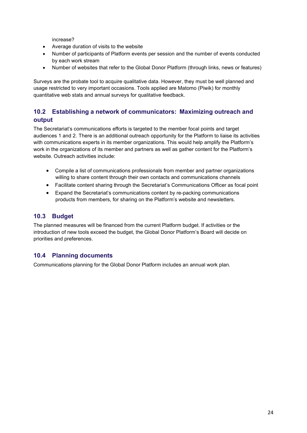increase?

- Average duration of visits to the website
- Number of participants of Platform events per session and the number of events conducted by each work stream
- Number of websites that refer to the Global Donor Platform (through links, news or features)

Surveys are the probate tool to acquire qualitative data. However, they must be well planned and usage restricted to very important occasions. Tools applied are Matomo (Piwik) for monthly quantitative web stats and annual surveys for qualitative feedback.

#### **10.2 Establishing a network of communicators: Maximizing outreach and output**

The Secretariat's communications efforts is targeted to the member focal points and target audiences 1 and 2. There is an additional outreach opportunity for the Platform to liaise its activities with communications experts in its member organizations. This would help amplify the Platform's work in the organizations of its member and partners as well as gather content for the Platform's website. Outreach activities include:

- Compile a list of communications professionals from member and partner organizations willing to share content through their own contacts and communications channels
- Facilitate content sharing through the Secretariat's Communications Officer as focal point
- Expand the Secretariat's communications content by re-packing communications products from members, for sharing on the Platform's website and newsletters.

#### **10.3 Budget**

The planned measures will be financed from the current Platform budget. If activities or the introduction of new tools exceed the budget, the Global Donor Platform's Board will decide on priorities and preferences.

#### **10.4 Planning documents**

Communications planning for the Global Donor Platform includes an annual work plan.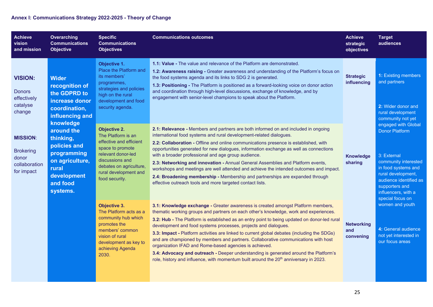#### **Annex I: Communications Strategy 2022-2025 - Theory of Change**

| <b>Achieve</b><br>vision<br>and mission                                                                                                                                                                               | <b>Overarching</b><br><b>Communications</b><br><b>Objective</b>                                                                                                                                         | <b>Specific</b><br><b>Communications</b><br><b>Objectives</b>                                                                                                                                                                                                                                                                                                                                                                                                                                                                                                                                                                                                                                                                 | <b>Communications outcomes</b>                                                                                                                                                                                                                                                                                                                                                                                                                                                                                                                                                                                                                                                                                                                                                           | <b>Achieve</b><br>strategic<br>objectives                                                                                                                                                                | <b>Target</b><br>audiences                                                                          |
|-----------------------------------------------------------------------------------------------------------------------------------------------------------------------------------------------------------------------|---------------------------------------------------------------------------------------------------------------------------------------------------------------------------------------------------------|-------------------------------------------------------------------------------------------------------------------------------------------------------------------------------------------------------------------------------------------------------------------------------------------------------------------------------------------------------------------------------------------------------------------------------------------------------------------------------------------------------------------------------------------------------------------------------------------------------------------------------------------------------------------------------------------------------------------------------|------------------------------------------------------------------------------------------------------------------------------------------------------------------------------------------------------------------------------------------------------------------------------------------------------------------------------------------------------------------------------------------------------------------------------------------------------------------------------------------------------------------------------------------------------------------------------------------------------------------------------------------------------------------------------------------------------------------------------------------------------------------------------------------|----------------------------------------------------------------------------------------------------------------------------------------------------------------------------------------------------------|-----------------------------------------------------------------------------------------------------|
| <b>VISION:</b><br><b>Donors</b><br>effectively<br>catalyse<br>change                                                                                                                                                  | <b>Wider</b><br>recognition of<br>the GDPRD to<br>increase donor<br>coordination,<br>influencing and                                                                                                    | Objective 1.<br>Place the Platform and<br>its members'<br>programmes,<br>strategies and policies<br>high on the rural<br>development and food<br>security agenda.                                                                                                                                                                                                                                                                                                                                                                                                                                                                                                                                                             | 1.1: Value - The value and relevance of the Platform are demonstrated.<br>1.2: Awareness raising - Greater awareness and understanding of the Platform's focus on<br>the food systems agenda and its links to SDG 2 is generated.<br>1.3: Positioning - The Platform is positioned as a forward-looking voice on donor action<br>and coordination through high-level discussions, exchange of knowledge, and by<br>engagement with senior-level champions to speak about the Platform.                                                                                                                                                                                                                                                                                                   | <b>Strategic</b><br>influencing                                                                                                                                                                          | 1: Existing members<br>and partners<br>2: Wider donor and<br>rural development<br>community not yet |
| knowledge<br>around the<br><b>MISSION:</b><br>thinking,<br>policies and<br><b>Brokering</b><br>programming<br>donor<br>on agriculture,<br>collaboration<br>rural<br>for impact<br>development<br>and food<br>systems. | <b>Objective 2.</b><br>The Platform is an<br>effective and efficient<br>space to promote<br>relevant donor-led<br>discussions and<br>debates on agriculture,<br>rural development and<br>food security. | 2.1: Relevance - Members and partners are both informed on and included in ongoing<br>international food systems and rural development-related dialogues.<br>2.2: Collaboration - Offline and online communications presence is established, with<br>opportunities generated for new dialogues, information exchange as well as connections<br>with a broader professional and age group audience.<br>2.3: Networking and innovation - Annual General Assemblies and Platform events,<br>workshops and meetings are well attended and achieve the intended outcomes and impact.<br>2.4: Broadening membership - Membership and partnerships are expanded through<br>effective outreach tools and more targeted contact lists. | 3: External<br>Knowledge<br>sharing                                                                                                                                                                                                                                                                                                                                                                                                                                                                                                                                                                                                                                                                                                                                                      | engaged with Global<br><b>Donor Platform</b><br>community interested<br>in food systems and<br>rural development,<br>audience identified as<br>supporters and<br>influencers, with a<br>special focus on |                                                                                                     |
|                                                                                                                                                                                                                       |                                                                                                                                                                                                         | Objective 3.<br>The Platform acts as a<br>community hub which<br>promotes the<br>members' common<br>vision of rural<br>development as key to<br>achieving Agenda<br>2030.                                                                                                                                                                                                                                                                                                                                                                                                                                                                                                                                                     | 3.1: Knowledge exchange - Greater awareness is created amongst Platform members,<br>thematic working groups and partners on each other's knowledge, work and experiences.<br>3.2: Hub - The Platform is established as an entry point to being updated on donor-led rural<br>development and food systems processes, projects and dialogues.<br>3.3: Impact - Platform activities are linked to current global debates (including the SDGs)<br>and are championed by members and partners. Collaborative communications with host<br>organization IFAD and Rome-based agencies is achieved.<br>3.4: Advocacy and outreach - Deeper understanding is generated around the Platform's<br>role, history and influence, with momentum built around the 20 <sup>th</sup> anniversary in 2023. | <b>Networking</b><br>and<br>convening                                                                                                                                                                    | women and youth<br>4: General audience<br>not yet interested in<br>our focus areas                  |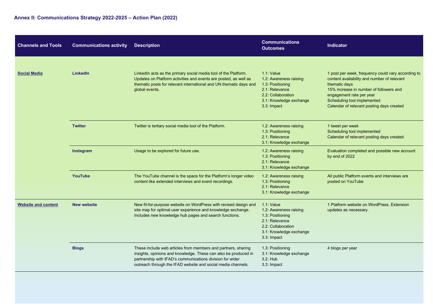| <b>Channels and Tools</b>  | <b>Communications activity</b> | <b>Description</b>                                                                                                                                                                                                                                            | <b>Communications</b><br><b>Outcomes</b>                                                                                                     | <b>Indicator</b>                                                                                                                                                                                                                                                      |
|----------------------------|--------------------------------|---------------------------------------------------------------------------------------------------------------------------------------------------------------------------------------------------------------------------------------------------------------|----------------------------------------------------------------------------------------------------------------------------------------------|-----------------------------------------------------------------------------------------------------------------------------------------------------------------------------------------------------------------------------------------------------------------------|
| <b>Social Media</b>        | <b>LinkedIn</b>                | LinkedIn acts as the primary social media tool of the Platform.<br>Updates on Platform activities and events are posted, as well as<br>thematic posts for relevant international and UN thematic days and<br>global events.                                   | $1.1:$ Value<br>1.2: Awareness raising<br>1.3: Positioning<br>2.1: Relevance<br>2.2: Collaboration<br>3.1: Knowledge exchange<br>3.3: Impact | 1 post per week, frequency could vary according to<br>content availability and number of relevant<br>thematic days<br>15% increase in number of followers and<br>engagement rate per year<br>Scheduling tool implemented<br>Calendar of relevant posting days created |
|                            | <b>Twitter</b>                 | Twitter is tertiary social media tool of the Platform.                                                                                                                                                                                                        | 1.2: Awareness raising<br>1.3: Positioning<br>2.1: Relevance<br>3.1: Knowledge exchange                                                      | 1 tweet per week<br>Scheduling tool implemented<br>Calendar of relevant posting days created                                                                                                                                                                          |
|                            | <b>Instagram</b>               | Usage to be explored for future use.                                                                                                                                                                                                                          | 1.2: Awareness raising<br>1.3: Positioning<br>2.1: Relevance<br>3.1: Knowledge exchange                                                      | Evaluation completed and possible new account<br>by end of 2022                                                                                                                                                                                                       |
|                            | YouTube                        | The YouTube channel is the space for the Platform's longer video<br>content like extended interviews and event recordings.                                                                                                                                    | 1.2: Awareness raising<br>1.3: Positioning<br>2.1: Relevance<br>3.1: Knowledge exchange                                                      | All public Platform events and interviews are<br>posted on YouTube                                                                                                                                                                                                    |
| <b>Website and content</b> | <b>New website</b>             | New fit-for-purpose website on WordPress with revised design and<br>site map for optimal user experience and knowledge exchange.<br>Includes new knowledge hub pages and search functions.                                                                    | $1.1:$ Value<br>1.2: Awareness raising<br>1.3: Positioning<br>2.1: Relevance<br>2.2: Collaboration<br>3.1: Knowledge exchange<br>3.3: Impact | 1 Platform website on WordPress, Extension<br>updates as necessary.                                                                                                                                                                                                   |
|                            | <b>Blogs</b>                   | These include web articles from members and partners, sharing<br>insights, opinions and knowledge. These can also be produced in<br>partnership with IFAD's communications division for wider<br>outreach through the IFAD website and social media channels. | 1.3: Positioning<br>3.1: Knowledge exchange<br>3.2: Hub<br>3.3: Impact                                                                       | 4 blogs per year                                                                                                                                                                                                                                                      |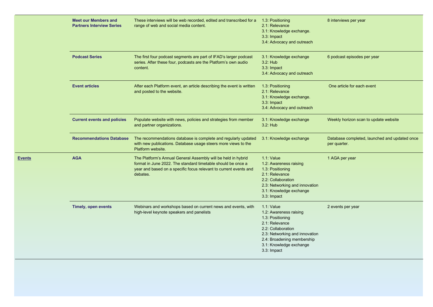|               | <b>Meet our Members and</b><br><b>Partners Interview Series</b> | These interviews will be web recorded, edited and transcribed for a<br>range of web and social media content.                                                                                                  | 1.3: Positioning<br>2.1: Relevance<br>3.1: Knowledge exchange.<br>3.3: Impact<br>3.4: Advocacy and outreach                                                                                                  | 8 interviews per year                                         |
|---------------|-----------------------------------------------------------------|----------------------------------------------------------------------------------------------------------------------------------------------------------------------------------------------------------------|--------------------------------------------------------------------------------------------------------------------------------------------------------------------------------------------------------------|---------------------------------------------------------------|
|               | <b>Podcast Series</b>                                           | The first four podcast segments are part of IFAD's larger podcast<br>series. After these four, podcasts are the Platform's own audio<br>content.                                                               | 3.1: Knowledge exchange<br>3.2: Hub<br>3.3: Impact<br>3.4: Advocacy and outreach                                                                                                                             | 6 podcast episodes per year                                   |
|               | <b>Event articles</b>                                           | After each Platform event, an article describing the event is written<br>and posted to the website.                                                                                                            | 1.3: Positioning<br>2.1: Relevance<br>3.1: Knowledge exchange.<br>3.3: Impact<br>3.4: Advocacy and outreach                                                                                                  | One article for each event                                    |
|               | <b>Current events and policies</b>                              | Populate website with news, policies and strategies from member<br>and partner organizations.                                                                                                                  | 3.1: Knowledge exchange<br>3.2: Hub                                                                                                                                                                          | Weekly horizon scan to update website                         |
|               | <b>Recommendations Database</b>                                 | The recommendations database is complete and regularly updated<br>with new publications. Database usage steers more views to the<br>Platform website.                                                          | 3.1: Knowledge exchange                                                                                                                                                                                      | Database completed, launched and updated once<br>per quarter. |
| <u>Events</u> | <b>AGA</b>                                                      | The Platform's Annual General Assembly will be held in hybrid<br>format in June 2022. The standard timetable should be once a<br>year and based on a specific focus relevant to current events and<br>debates. | 1.1: Value<br>1.2: Awareness raising<br>1.3: Positioning<br>2.1: Relevance<br>2.2: Collaboration<br>2.3: Networking and innovation<br>3.1: Knowledge exchange<br>3.3: Impact                                 | 1 AGA per year                                                |
|               | <b>Timely, open events</b>                                      | Webinars and workshops based on current news and events, with<br>high-level keynote speakers and panelists                                                                                                     | $1.1:$ Value<br>1.2: Awareness raising<br>1.3: Positioning<br>2.1: Relevance<br>2.2: Collaboration<br>2.3: Networking and innovation<br>2.4: Broadening membership<br>3.1: Knowledge exchange<br>3.3: Impact | 2 events per year                                             |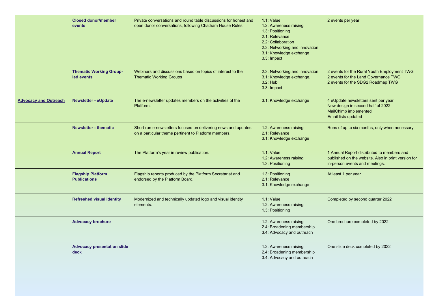|                              | <b>Closed donor/member</b><br>events            | Private conversations and round table discussions for honest and<br>open donor conversations, following Chatham House Rules | $1.1:$ Value<br>1.2: Awareness raising<br>1.3: Positioning<br>2.1: Relevance<br>2.2: Collaboration<br>2.3: Networking and innovation<br>3.1: Knowledge exchange<br>3.3 Impact | 2 events per year                                                                                                                   |
|------------------------------|-------------------------------------------------|-----------------------------------------------------------------------------------------------------------------------------|-------------------------------------------------------------------------------------------------------------------------------------------------------------------------------|-------------------------------------------------------------------------------------------------------------------------------------|
|                              | <b>Thematic Working Group-</b><br>led events    | Webinars and discussions based on topics of interest to the<br><b>Thematic Working Groups</b>                               | 2.3: Networking and innovation<br>3.1: Knowledge exchange.<br>3.2: Hub<br>3.3: Impact                                                                                         | 2 events for the Rural Youth Employment TWG<br>2 events for the Land Governance TWG<br>2 events for the SDG2 Roadmap TWG            |
| <b>Advocacy and Outreach</b> | <b>Newsletter - eUpdate</b>                     | The e-newsletter updates members on the activities of the<br>Platform.                                                      | 3.1: Knowledge exchange                                                                                                                                                       | 4 eUpdate newsletters sent per year<br>New design in second half of 2022<br><b>MailChimp implemented</b><br>Email lists updated     |
|                              | <b>Newsletter - thematic</b>                    | Short run e-newsletters focused on delivering news and updates<br>on a particular theme pertinent to Platform members.      | 1.2: Awareness raising<br>2.1: Relevance<br>3.1: Knowledge exchange                                                                                                           | Runs of up to six months, only when necessary                                                                                       |
|                              | <b>Annual Report</b>                            | The Platform's year in review publication.                                                                                  | $1.1:$ Value<br>1.2: Awareness raising<br>1.3: Positioning                                                                                                                    | 1 Annual Report distributed to members and<br>published on the website. Also in print version for<br>in-person events and meetings. |
|                              | <b>Flagship Platform</b><br><b>Publications</b> | Flagship reports produced by the Platform Secretariat and<br>endorsed by the Platform Board.                                | 1.3: Positioning<br>2.1: Relevance<br>3.1: Knowledge exchange                                                                                                                 | At least 1 per year                                                                                                                 |
|                              | <b>Refreshed visual identity</b>                | Modernized and technically updated logo and visual identity<br>elements.                                                    | $1.1:$ Value<br>1.2: Awareness raising<br>1.3: Positioning                                                                                                                    | Completed by second quarter 2022                                                                                                    |
|                              | <b>Advocacy brochure</b>                        |                                                                                                                             | 1.2: Awareness raising<br>2.4: Broadening membership<br>3.4: Advocacy and outreach                                                                                            | One brochure completed by 2022                                                                                                      |
|                              | <b>Advocacy presentation slide</b><br>deck      |                                                                                                                             | 1.2: Awareness raising<br>2.4: Broadening membership<br>3.4: Advocacy and outreach                                                                                            | One slide deck completed by 2022                                                                                                    |